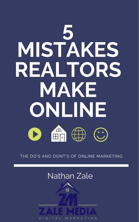# **5 MISTAKES REALTORS MAKE ONLINE**



### THE DO'S AND DONT'S OF ONLINE MARKETING

## Nathan Zale

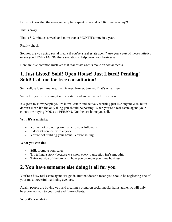Did you know that the average daily time spent on social is 116 minutes a day?!

That's crazy.

That's 812 minutes a week and more than a MONTH's time in a year.

Reality check.

So, how are you using social media if you're a real estate agent? Are you a part of these statistics or are you LEVERAGING these statistics to help grow your business?

Here are five common mistakes that real estate agents make on social media.

#### **1. Just Listed! Sold! Open House! Just Listed! Pending! Sold! Call me for free consultation!**

Sell, sell, sell, sell, me, me, me. Banner, banner, banner. That's what I see.

We get it, you're crushing it in real estate and are active in the business.

It's great to show people you're in real estate and actively working just like anyone else, but it doesn't mean it's the only thing you should be posting. When you're a real estate agent, your clients are buying YOU as a PERSON. Not the last home you sell.

#### **Why it's a mistake:**

- You're not providing any value to your followers.
- It doesn't connect with anyone.
- You're not building your brand. You're selling.

#### **What you can do:**

- Still, promote your sales!
- Try telling a story (because we know every transaction isn't smooth).
- Think outside of the box with how you promote your new business.

#### **2. You have someone else doing it all for you**

You're a busy real estate agent, we get it. But that doesn't mean you should be neglecting one of your most powerful marketing avenues.

Again, people are buying **you** and creating a brand on social media that is authentic will only help connect you to your past and future clients.

#### **Why it's a mistake:**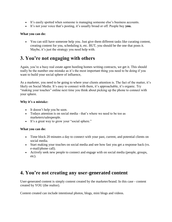- It's easily spotted when someone is managing someone else's business accounts.
- It's not your voice that's posting, it's usually broad or off. People buy **you.**

#### **What you can do:**

• You can still have someone help you. Just give them different tasks like curating content, creating content for you, scheduling it, etc. BUT, you should be the one that posts it. Maybe, it's just the strategy you need help with.

#### **3. You're not engaging with others**

Again, you're a busy real estate agent hustling homes writing contracts, we get it. This should really be the number one mistake as it's the most important thing you need to be doing if you want to build your social sphere of influence,

As a marketer, you need to be going to where your clients attention is. The fact of the matter, it's likely on Social Media. It's easy to connect with them, it's approachable, it's organic. Try "making your touches" online next time you think about picking up the phone to connect with your sphere.

#### **Why it's a mistake:**

- It doesn't help you be seen.
- Todays attention is on social media that's where we need to be too as marketers/salespeople.
- It's a great way to grow your "social sphere."

#### **What you can do:**

- Time block 20 minutes a day to connect with your past, current, and potential clients on social media.
- Start making your touches on social media and see how fast you get a response back (vs. e-mail/phone call).
- Actively seek new people to connect and engage with on social media (people, groups, etc).

#### **4. You're not creating any user-generated content**

User-generated content is simply content created by the marketer/brand. In this case - content created by YOU (the realtor).

Content created can include intentional photos, blogs, mini blogs and videos.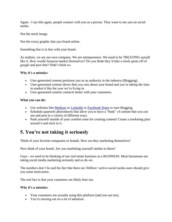Again - I say this again, people connect with you as a person. They want to see you on social media.

Not the stock image.

Not the corny graphic that you found online.

Something that is in line with your brand.

As realtors, we are our own company. We are entrepreneurs. We need to be TREATING ourself like it. How would Amazon market themselves? Do you think they'd take a stock quote off of google and post that? Didn't think so.

#### **Why it's a mistake:**

- User-generated content positions you as an authority in the industry (Blogging).
- User-generated content shows that you care about your brand and you're taking the time to market it like the year we're living in.
- User-generated content connects better with your customers.

#### **What you can do:**

- Use websites like [Medium](https://medium.com/) or [LinkedIn](https://www.linkedin.com/help/linkedin/answer/47538/creating-articles-on-linkedin?lang=en) or [Facebook Notes](https://www.facebook.com/facebookmedia/blog/tips-for-using-facebook-notes) to start blogging.
- Schedule quarterly photoshoots that allow you to have a "bank" of content that you can use and post in a variety of different ways.
- Push yourself outside of your comfort zone for creating content! Create a marketing plan around it and stick to it.

#### **5. You're not taking it seriously**

Think of your favorite companies or brands. How are they marketing themselves?

Now think of your brand. Are you marketing yourself similar to them?

Guys - we need to be thinking of our real estate business as a BUSINESS. Most businesses are taking social media marketing seriously and so do we.

The numbers don't lie and the fact that there are 3billion+ active social media users should give you some motivation.

The real fact is that your customers are likely here too.

#### **Why it's a mistake:**

- Your customers are actually using this platform (and you are too).
- You're missing out on a lot of attention.